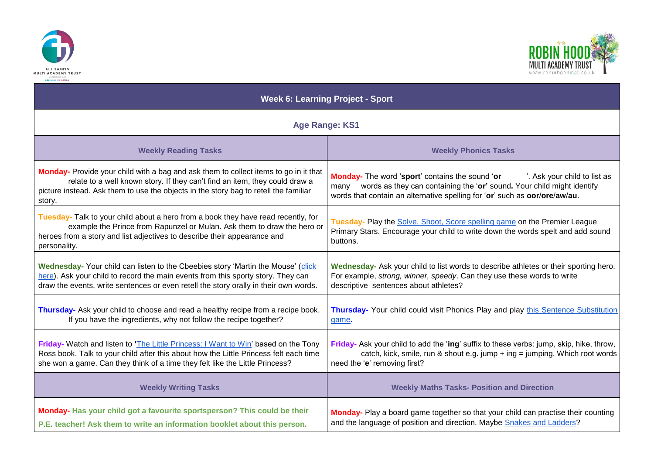



| <b>Week 6: Learning Project - Sport</b>                                                                                                                                                                                                                  |                                                                                                                                                                          |
|----------------------------------------------------------------------------------------------------------------------------------------------------------------------------------------------------------------------------------------------------------|--------------------------------------------------------------------------------------------------------------------------------------------------------------------------|
| <b>Age Range: KS1</b>                                                                                                                                                                                                                                    |                                                                                                                                                                          |
| <b>Weekly Reading Tasks</b>                                                                                                                                                                                                                              | <b>Weekly Phonics Tasks</b>                                                                                                                                              |
| <b>Monday-</b> Provide your child with a bag and ask them to collect items to go in it that                                                                                                                                                              | Monday- The word 'sport' contains the sound 'or                                                                                                                          |
| relate to a well known story. If they can't find an item, they could draw a                                                                                                                                                                              | '. Ask your child to list as                                                                                                                                             |
| picture instead. Ask them to use the objects in the story bag to retell the familiar                                                                                                                                                                     | many words as they can containing the 'or' sound. Your child might identify                                                                                              |
| story.                                                                                                                                                                                                                                                   | words that contain an alternative spelling for 'or' such as oor/ore/aw/au.                                                                                               |
| Tuesday- Talk to your child about a hero from a book they have read recently, for<br>example the Prince from Rapunzel or Mulan. Ask them to draw the hero or<br>heroes from a story and list adjectives to describe their appearance and<br>personality. | Tuesday- Play the Solve, Shoot, Score spelling game on the Premier League<br>Primary Stars. Encourage your child to write down the words spelt and add sound<br>buttons. |
| Wednesday- Your child can listen to the Cbeebies story 'Martin the Mouse' (click                                                                                                                                                                         | Wednesday- Ask your child to list words to describe athletes or their sporting hero.                                                                                     |
| here). Ask your child to record the main events from this sporty story. They can                                                                                                                                                                         | For example, strong, winner, speedy. Can they use these words to write                                                                                                   |
| draw the events, write sentences or even retell the story orally in their own words.                                                                                                                                                                     | descriptive sentences about athletes?                                                                                                                                    |
| Thursday- Ask your child to choose and read a healthy recipe from a recipe book.                                                                                                                                                                         | Thursday- Your child could visit Phonics Play and play this Sentence Substitution                                                                                        |
| If you have the ingredients, why not follow the recipe together?                                                                                                                                                                                         | game.                                                                                                                                                                    |
| Friday- Watch and listen to 'The Little Princess: I Want to Win' based on the Tony                                                                                                                                                                       | Friday- Ask your child to add the 'ing' suffix to these verbs: jump, skip, hike, throw,                                                                                  |
| Ross book. Talk to your child after this about how the Little Princess felt each time                                                                                                                                                                    | catch, kick, smile, run & shout e.g. jump + ing = jumping. Which root words                                                                                              |
| she won a game. Can they think of a time they felt like the Little Princess?                                                                                                                                                                             | need the 'e' removing first?                                                                                                                                             |
| <b>Weekly Writing Tasks</b>                                                                                                                                                                                                                              | <b>Weekly Maths Tasks- Position and Direction</b>                                                                                                                        |
| Monday- Has your child got a favourite sportsperson? This could be their                                                                                                                                                                                 | Monday- Play a board game together so that your child can practise their counting                                                                                        |
| P.E. teacher! Ask them to write an information booklet about this person.                                                                                                                                                                                | and the language of position and direction. Maybe Snakes and Ladders?                                                                                                    |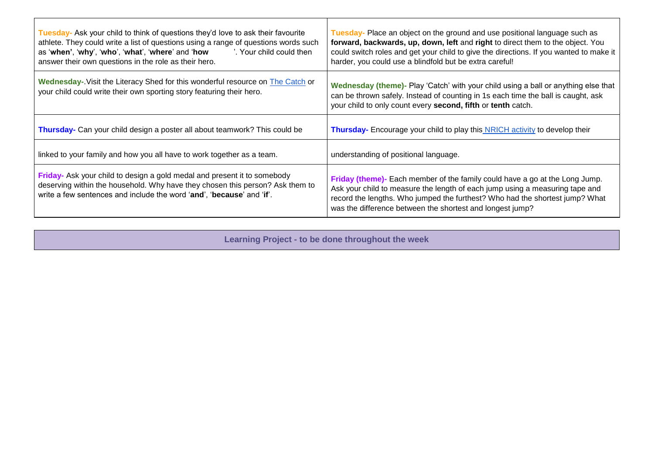| Tuesday- Ask your child to think of questions they'd love to ask their favourite<br>athlete. They could write a list of questions using a range of questions words such<br>as 'when', 'why', 'who', 'what', 'where' and 'how<br>'. Your child could then<br>answer their own questions in the role as their hero. | Tuesday- Place an object on the ground and use positional language such as<br>forward, backwards, up, down, left and right to direct them to the object. You<br>could switch roles and get your child to give the directions. If you wanted to make it<br>harder, you could use a blindfold but be extra careful! |
|-------------------------------------------------------------------------------------------------------------------------------------------------------------------------------------------------------------------------------------------------------------------------------------------------------------------|-------------------------------------------------------------------------------------------------------------------------------------------------------------------------------------------------------------------------------------------------------------------------------------------------------------------|
| <b>Wednesday-.</b> Visit the Literacy Shed for this wonderful resource on <b>The Catch</b> or<br>your child could write their own sporting story featuring their hero.                                                                                                                                            | Wednesday (theme)- Play 'Catch' with your child using a ball or anything else that<br>can be thrown safely. Instead of counting in 1s each time the ball is caught, ask<br>your child to only count every second, fifth or tenth catch.                                                                           |
| <b>Thursday-</b> Can your child design a poster all about teamwork? This could be                                                                                                                                                                                                                                 | <b>Thursday-</b> Encourage your child to play this NRICH activity to develop their                                                                                                                                                                                                                                |
| linked to your family and how you all have to work together as a team.                                                                                                                                                                                                                                            | understanding of positional language.                                                                                                                                                                                                                                                                             |
| Friday- Ask your child to design a gold medal and present it to somebody<br>deserving within the household. Why have they chosen this person? Ask them to<br>write a few sentences and include the word 'and', 'because' and 'if'.                                                                                | Friday (theme)- Each member of the family could have a go at the Long Jump.<br>Ask your child to measure the length of each jump using a measuring tape and<br>record the lengths. Who jumped the furthest? Who had the shortest jump? What<br>was the difference between the shortest and longest jump?          |

**Learning Project - to be done throughout the week**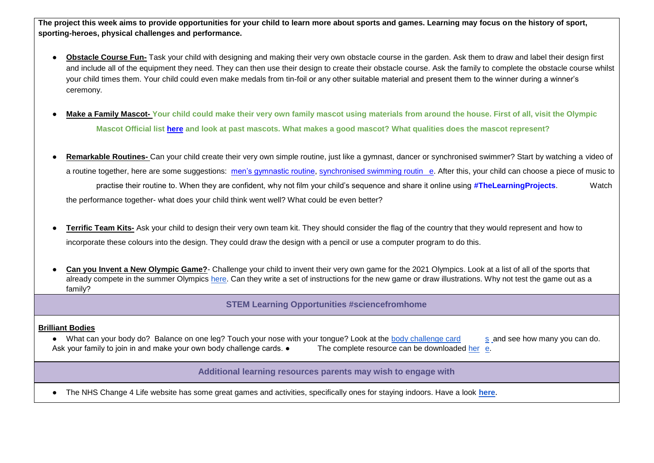**The project this week aims to provide opportunities for your child to learn more about sports and games. Learning may focus on the history of sport, sporting-heroes, physical challenges and performance.**

- **Obstacle Course Fun-** Task your child with designing and making their very own obstacle course in the garden. Ask them to draw and label their design first and include all of the equipment they need. They can then use their design to create their obstacle course. Ask the family to complete the obstacle course whilst your child times them. Your child could even make medals from tin-foil or any other suitable material and present them to the winner during a winner's ceremony.
- **Make a Family Mascot-Your child could make their very own family mascot using materials from around the house. First of all, visit the Olympic Mascot Official list [here](https://www.olympic.org/mascots) and look at past mascots. What makes a good mascot? What qualities does the mascot represent?**
- **Remarkable Routines-** Can your child create their very own simple routine, just like a gymnast, dancer or synchronised swimmer? Start by watching a video of a routine together, here are some suggestions: [men's gymnastic routine,](https://safeyoutube.net/w/V3h6) [synchronised swimming routin](https://safeyoutube.net/w/c4h6) [e.](https://safeyoutube.net/w/c4h6) After this, your child can choose a piece of music to practise their routine to. When they are confident, why not film your child's sequence and share it online using **#TheLearningProjects**. Watch the performance together- what does your child think went well? What could be even better?
- **Terrific Team Kits-** Ask your child to design their very own team kit. They should consider the flag of the country that they would represent and how to incorporate these colours into the design. They could draw the design with a pencil or use a computer program to do this.
- **Can you Invent a New Olympic Game?** Challenge your child to invent their very own game for the 2021 Olympics. Look at a list of all of the sports that already compete in the summer Olympics [here.](https://www.olympic.org/sports) Can they write a set of instructions for the new game or draw illustrations. Why not test the game out as a family?

**STEM Learning Opportunities #sciencefromhome**

## **Brilliant Bodies**

• What can your body do? Balance on one leg? Touch your nose with your tongue? Look at the [body challenge card](https://bit.ly/2yeXukg) [s](https://bit.ly/2yeXukg) and see how many you can do. Ask your family to join in and make your own body challenge cards. • The complete resource can be downloaded [her](https://bit.ly/2K3Tnu9) [e.](https://bit.ly/2K3Tnu9)

**Additional learning resources parents may wish to engage with**

● The NHS Change 4 Life website has some great games and activities, specifically ones for staying indoors. Have a look **[here](https://www.nhs.uk/change4life/activities/sports-and-activities)**.